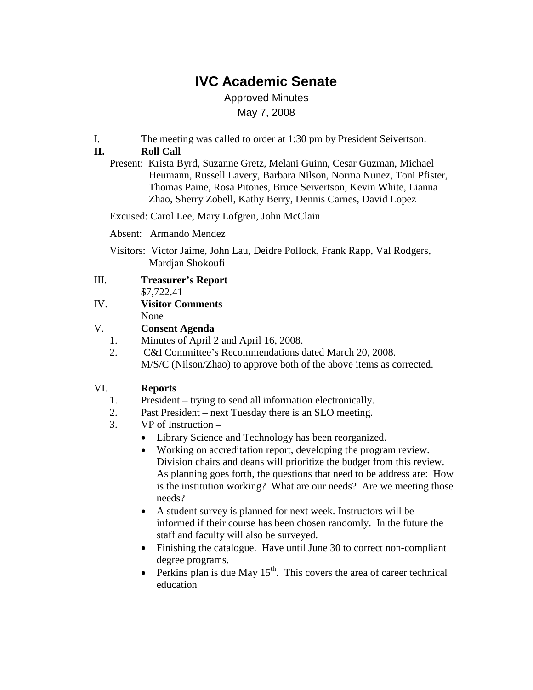# **IVC Academic Senate**

Approved Minutes May 7, 2008

I. The meeting was called to order at 1:30 pm by President Seivertson.

### **II. Roll Call**

Present: Krista Byrd, Suzanne Gretz, Melani Guinn, Cesar Guzman, Michael Heumann, Russell Lavery, Barbara Nilson, Norma Nunez, Toni Pfister, Thomas Paine, Rosa Pitones, Bruce Seivertson, Kevin White, Lianna Zhao, Sherry Zobell, Kathy Berry, Dennis Carnes, David Lopez

Excused: Carol Lee, Mary Lofgren, John McClain

Absent: Armando Mendez

Visitors: Victor Jaime, John Lau, Deidre Pollock, Frank Rapp, Val Rodgers, Mardjan Shokoufi

| Ш. | <b>Treasurer's Report</b> |
|----|---------------------------|
|    | \$7,722.41                |

IV. **Visitor Comments** None

### V. **Consent Agenda**

- 1. Minutes of April 2 and April 16, 2008.
- 2. C&I Committee's Recommendations dated March 20, 2008. M/S/C (Nilson/Zhao) to approve both of the above items as corrected.

### VI. **Reports**

- 1. President trying to send all information electronically.
- 2. Past President next Tuesday there is an SLO meeting.
- 3. VP of Instruction
	- Library Science and Technology has been reorganized.
	- Working on accreditation report, developing the program review. Division chairs and deans will prioritize the budget from this review. As planning goes forth, the questions that need to be address are: How is the institution working? What are our needs? Are we meeting those needs?
	- A student survey is planned for next week. Instructors will be informed if their course has been chosen randomly. In the future the staff and faculty will also be surveyed.
	- Finishing the catalogue. Have until June 30 to correct non-compliant degree programs.
	- Perkins plan is due May  $15<sup>th</sup>$ . This covers the area of career technical education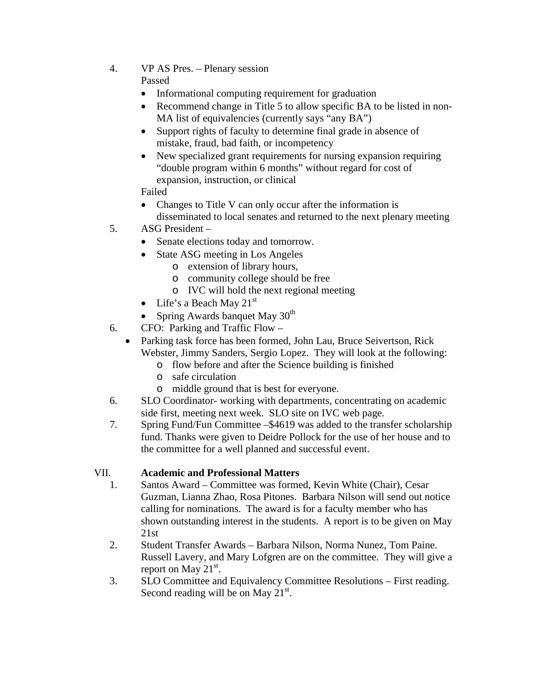4. VP AS Pres. – Plenary session

## Passed

- Informational computing requirement for graduation
- Recommend change in Title 5 to allow specific BA to be listed in non-MA list of equivalencies (currently says "any BA")
- Support rights of faculty to determine final grade in absence of mistake, fraud, bad faith, or incompetency
- New specialized grant requirements for nursing expansion requiring "double program within 6 months" without regard for cost of expansion, instruction, or clinical

Failed

- Changes to Title V can only occur after the information is disseminated to local senates and returned to the next plenary meeting
- 5. ASG President
	- Senate elections today and tomorrow.
	- State ASG meeting in Los Angeles
		- o extension of library hours,
		- o community college should be free
		- o IVC will hold the next regional meeting
	- Life's a Beach May  $21<sup>st</sup>$
	- Spring Awards banquet May 30<sup>th</sup>
- 6. CFO: Parking and Traffic Flow
	- Parking task force has been formed, John Lau, Bruce Seivertson, Rick Webster, Jimmy Sanders, Sergio Lopez. They will look at the following:
		- o flow before and after the Science building is finished
		- o safe circulation
		- o middle ground that is best for everyone.
- 6. SLO Coordinator- working with departments, concentrating on academic side first, meeting next week. SLO site on IVC web page.
- 7. Spring Fund/Fun Committee –\$4619 was added to the transfer scholarship fund. Thanks were given to Deidre Pollock for the use of her house and to the committee for a well planned and successful event.

### VII. **Academic and Professional Matters**

- 1. Santos Award Committee was formed, Kevin White (Chair), Cesar Guzman, Lianna Zhao, Rosa Pitones. Barbara Nilson will send out notice calling for nominations. The award is for a faculty member who has shown outstanding interest in the students. A report is to be given on May 21st
- 2. Student Transfer Awards Barbara Nilson, Norma Nunez, Tom Paine. Russell Lavery, and Mary Lofgren are on the committee. They will give a report on May  $21^{st}$ .
- 3. SLO Committee and Equivalency Committee Resolutions First reading. Second reading will be on May  $21^{st}$ .